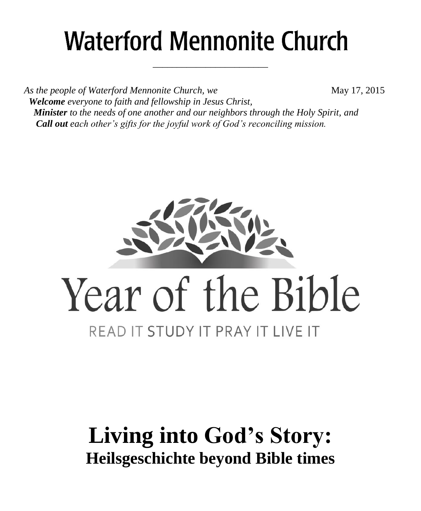# **Waterford Mennonite Church**

\_\_\_\_\_\_\_\_\_\_\_\_\_\_\_\_\_\_\_\_\_\_\_\_

*As the people of Waterford Mennonite Church, we* May 17, 2015  *Welcome everyone to faith and fellowship in Jesus Christ, Minister to the needs of one another and our neighbors through the Holy Spirit, and Call out each other's gifts for the joyful work of God's reconciling mission.*



# **Living into God's Story: Heilsgeschichte beyond Bible times**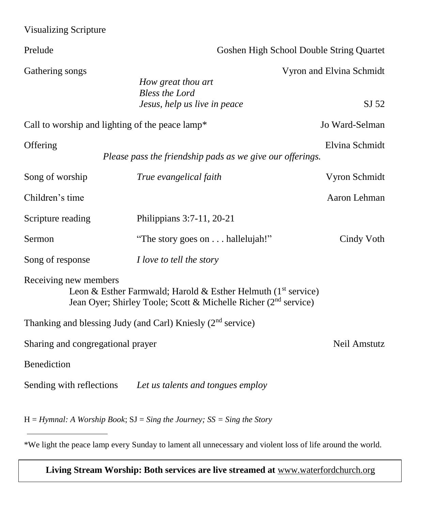| <b>Visualizing Scripture</b>      |                                                                                                                                                |                                   |  |
|-----------------------------------|------------------------------------------------------------------------------------------------------------------------------------------------|-----------------------------------|--|
| Prelude                           | Goshen High School Double String Quartet                                                                                                       |                                   |  |
| Gathering songs                   | How great thou art<br><b>Bless the Lord</b><br>Jesus, help us live in peace                                                                    | Vyron and Elvina Schmidt<br>SJ 52 |  |
|                                   | Call to worship and lighting of the peace lamp*                                                                                                | Jo Ward-Selman                    |  |
| Offering                          | Please pass the friendship pads as we give our offerings.                                                                                      | Elvina Schmidt                    |  |
| Song of worship                   | True evangelical faith                                                                                                                         | Vyron Schmidt                     |  |
| Children's time                   |                                                                                                                                                | Aaron Lehman                      |  |
| Scripture reading                 | Philippians 3:7-11, 20-21                                                                                                                      |                                   |  |
| Sermon                            | "The story goes on hallelujah!"                                                                                                                | Cindy Voth                        |  |
| Song of response                  | I love to tell the story                                                                                                                       |                                   |  |
| Receiving new members             | Leon & Esther Farmwald; Harold & Esther Helmuth $(1st$ service)<br>Jean Oyer; Shirley Toole; Scott & Michelle Richer (2 <sup>nd</sup> service) |                                   |  |
|                                   | Thanking and blessing Judy (and Carl) Kniesly (2 <sup>nd</sup> service)                                                                        |                                   |  |
| Sharing and congregational prayer |                                                                                                                                                | Neil Amstutz                      |  |
| Benediction                       |                                                                                                                                                |                                   |  |
| Sending with reflections          | Let us talents and tongues employ                                                                                                              |                                   |  |
|                                   | $H = Hymnal$ : A Worship Book; $SI = Sing$ the Journey; $SS = Sing$ the Story                                                                  |                                   |  |

\*We light the peace lamp every Sunday to lament all unnecessary and violent loss of life around the world.

**Living Stream Worship: Both services are live streamed at** [www.waterfordchurch.org](http://www.waterfordchurch.org/)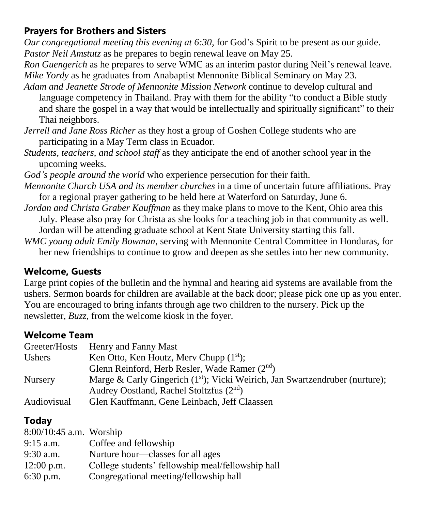### **Prayers for Brothers and Sisters**

*Our congregational meeting this evening at 6:30*, for God's Spirit to be present as our guide. *Pastor Neil Amstutz* as he prepares to begin renewal leave on May 25.

*Ron Guengerich* as he prepares to serve WMC as an interim pastor during Neil's renewal leave. *Mike Yordy* as he graduates from Anabaptist Mennonite Biblical Seminary on May 23.

- *Adam and Jeanette Strode of Mennonite Mission Network* continue to develop cultural and language competency in Thailand. Pray with them for the ability "to conduct a Bible study and share the gospel in a way that would be intellectually and spiritually significant" to their Thai neighbors.
- *Jerrell and Jane Ross Richer* as they host a group of Goshen College students who are participating in a May Term class in Ecuador.
- *Students, teachers, and school staff* as they anticipate the end of another school year in the upcoming weeks.
- *God's people around the world* who experience persecution for their faith.
- *Mennonite Church USA and its member churches* in a time of uncertain future affiliations. Pray for a regional prayer gathering to be held here at Waterford on Saturday, June 6.
- *Jordan and Christa Graber Kauffman* as they make plans to move to the Kent, Ohio area this July. Please also pray for Christa as she looks for a teaching job in that community as well.
	- Jordan will be attending graduate school at Kent State University starting this fall.
- *WMC young adult Emily Bowman*, serving with Mennonite Central Committee in Honduras, for her new friendships to continue to grow and deepen as she settles into her new community.

### **Welcome, Guests**

Large print copies of the bulletin and the hymnal and hearing aid systems are available from the ushers. Sermon boards for children are available at the back door; please pick one up as you enter. You are encouraged to bring infants through age two children to the nursery. Pick up the newsletter, *Buzz,* from the welcome kiosk in the foyer.

### **Welcome Team**

|                | Greeter/Hosts Henry and Fanny Mast                                             |
|----------------|--------------------------------------------------------------------------------|
| Ushers         | Ken Otto, Ken Houtz, Merv Chupp $(1st)$ ;                                      |
|                | Glenn Reinford, Herb Resler, Wade Ramer (2 <sup>nd</sup> )                     |
| <b>Nursery</b> | Marge & Carly Gingerich $(1st)$ ; Vicki Weirich, Jan Swartzendruber (nurture); |
|                | Audrey Oostland, Rachel Stoltzfus (2 <sup>nd</sup> )                           |
| Audiovisual    | Glen Kauffmann, Gene Leinbach, Jeff Claassen                                   |

## **Today**

| 8:00/10:45 a.m. Worship |                                                   |
|-------------------------|---------------------------------------------------|
| $9:15$ a.m.             | Coffee and fellowship                             |
| $9:30$ a.m.             | Nurture hour—classes for all ages                 |
| $12:00$ p.m.            | College students' fellowship meal/fellowship hall |
| $6:30$ p.m.             | Congregational meeting/fellowship hall            |
|                         |                                                   |